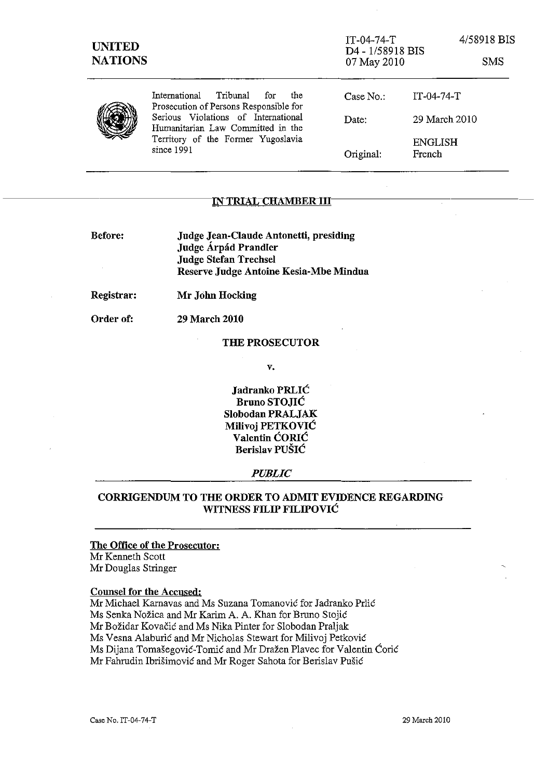| <b>UNITED</b><br><b>NATIONS</b> |                                                                                                                              | $IT-04-74-T$<br>D <sub>4</sub> - 1/58918 BIS<br>07 May 2010 |                          | 4/58918 BIS<br><b>SMS</b> |
|---------------------------------|------------------------------------------------------------------------------------------------------------------------------|-------------------------------------------------------------|--------------------------|---------------------------|
|                                 | Tribunal<br>the<br>International<br>for<br>Prosecution of Persons Responsible for                                            | Case No.                                                    | $IT-04-74-T$             |                           |
|                                 | Serious Violations of International<br>Humanitarian Law Committed in the<br>Territory of the Former Yugoslavia<br>since 1991 | Date:                                                       | 29 March 2010            |                           |
|                                 |                                                                                                                              | Original:                                                   | <b>ENGLISH</b><br>French |                           |

### <u>IN TRIAL CHAMBER III</u>

Before: Judge Jean-Claude Antonetti, presiding Judge Árpád Prandler Judge Stefan Trechsel Reserve Judge Antoine Kesia-Mbe Mindua

29 March 2010

Registrar: Mr John Hocking

Order of:

#### THE PROSECUTOR

v.

Jadranko PRLIC Bruno STOJIC Slobodan PRALJAK Milivoj PETKOVIC Valentin CORIC Berislav PUSIC

#### *PUBLIC*

## CORRIGENDUM TO THE ORDER TO ADMIT EVIDENCE REGARDING WITNESS FILIP FILIPOVIC

# The Office of the Prosecutor:

Mr Kenneth Scatt Mr Douglas Stringer

### Counsel for the Accused:

Mr Michael Karnavas and Ms Suzana Tomanović for Jadranko Prlić Ms Senka Nožica and Mr Karim A. A. Khan for Bruno Stojić Mr Božidar Kovačić and Ms Nika Pinter for Slobodan Praljak Ms Vesna Alaburić and Mr Nicholas Stewart for Milivoj Petković Ms Dijana Tomasegovie-*Tomie* and Mr Drazen Plavec for Valentin Corie Mr Fahrudin Ibrišimović and Mr Roger Sahota for Berislav Pušić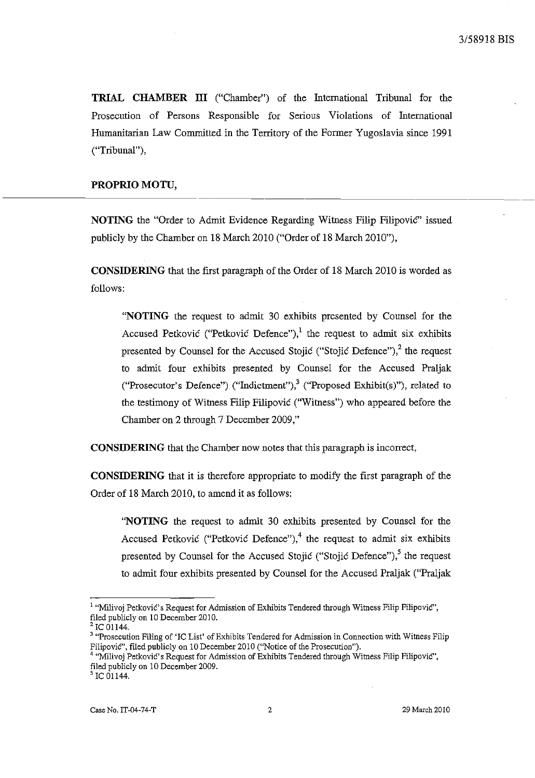**TRIAL CHAMBER ITI** ("Chamber") of the International Tribunal for the Prosecution of Persons Responsible for Serious Violations of International Humanitarian Law Committed in the Territory of the Former Yugoslavia since 1991 ("Tribunal"),

## **PROPRIO MOTU,**

**NOTING** the "Order to Admit Evidence Regarding Witness Filip Filipovic" issued publicly by the Chamber on 18 March 2010 ("Order of 18 March 2010"),

**CONSIDERING** that the first paragraph of the Order of 18 March 2010 is worded as follows:

**"NOTING** the request to admit 30 exhibits presented by Counsel for the Accused Petkovic ("Petkovic Defence"),<sup>1</sup> the request to admit six exhibits presented by Counsel for the Accused Stojic ("Stojic Defence"),<sup>2</sup> the request to admit four exhibits presented by Counsel for the Accused Praljak ("Prosecutor's Defence") ("Indictment"),  $3$  ("Proposed Exhibit(s)"), related to the testimony of Witness Filip Filipovic ("Witness") who appeared before the Chamber on 2 through 7 December 2009,"

**CONSIDERING** that the Chamber now notes that this paragraph is incorrect,

**CONSIDERING** that it is therefore appropriate to modify the first paragraph of the Order of 18 March 2010, to amend it as follows:

**"NOTING** the request to admit 30 exhibits presented by Counsel for the Accused Petkovic ("Petkovic Defence"),<sup>4</sup> the request to admit six exhibits presented by Counsel for the Accused Stojic ("Stojic Defence"),<sup>5</sup> the request to admit four exhibits presented by Counsel for the Accused Praljak ("Praljak

<sup>&</sup>lt;sup>1</sup> "Milivoj Petković's Request for Admission of Exhibits Tendered through Witness Filip Filipović", filed publicly on 10 December 2010.

IC 01144.

**<sup>3 &</sup>quot;Prosecution Filing of 'le List'** of Exhibits **Tendered for Admission in Connection with Witness Filip**  Filipović", filed publicly on 10 December 2010 ("Notice of the Prosecution").

<sup>&</sup>lt;sup>4</sup> "Milivoj Petković's Request for Admission of Exhibits Tendered through Witness Filip Filipović", filed publicly on 10 December 2009.

 $^5$  IC 01144.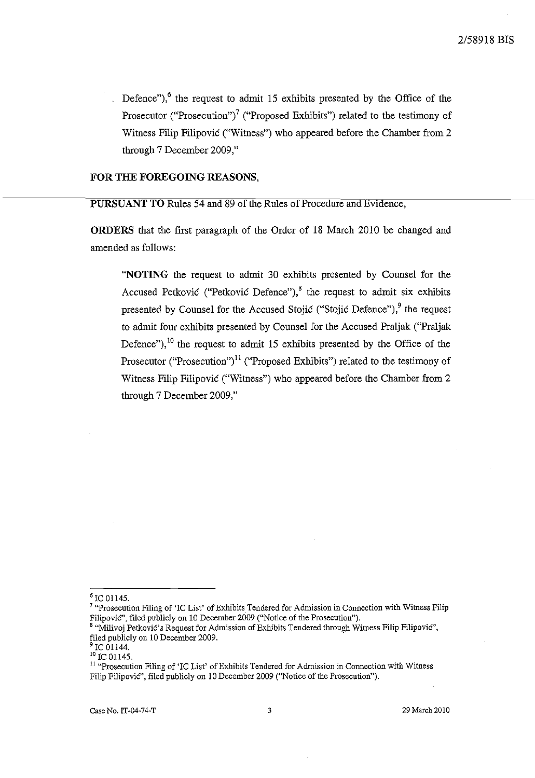Defence"), $6$  the request to admit 15 exhibits presented by the Office of the Prosecutor ("Prosecution")<sup>7</sup> ("Proposed Exhibits") related to the testimony of Witness Filip Filipovic ("Witness") who appeared before the Chamber from 2 through 7 December 2009,"

## **FOR THE FOREGOING REASONS,**

**PURSUANT TO** Rules 54 and 89 of the Rules of Procedure and Evidence,

**ORDERS** that the first paragraph of the Order of 18 March 2010 be changed and amended as follows:

**"NOTING** the request to admit 30 exhibits presented by Counsel for the Accused Petković ("Petković Defence"),<sup>8</sup> the request to admit six exhibits presented by Counsel for the Accused Stojic ("Stojic Defence"),<sup>9</sup> the request to admit four exhibits presented by Counsel for the Accused Praljak ("PraIjak Defence"), $^{10}$  the request to admit 15 exhibits presented by the Office of the Prosecutor ("Prosecution")<sup>11</sup> ("Proposed Exhibits") related to the testimony of Witness Filip Filipovic ("Witness") who appeared before the Chamber from 2 through 7 December 2009,"

 $^6$  IC 01145.

<sup>&</sup>lt;sup>7</sup> "Prosecution Filing of 'IC List' of Exhibits Tendered for Admission in Connection with Witness Filip Filipović", filed publicly on 10 December 2009 ("Notice of the Prosecution").

<sup>&</sup>lt;sup>8</sup> "Milivoj Petković's Request for Admission of Exhibits Tendered through Witness Filip Filipović", filed publicly on 10 December 2009.<br><sup>9</sup> IC 01144.

 $10^{10}$  IC 01145.

**<sup>11 &</sup>quot;Prosecution Filing of 'le List'** of Exhibits **Tendered for Admission in Connection with Witness**  Filip FilipoviC', filed publicly on 10 December 2009 ("Notice of the Prosecution").